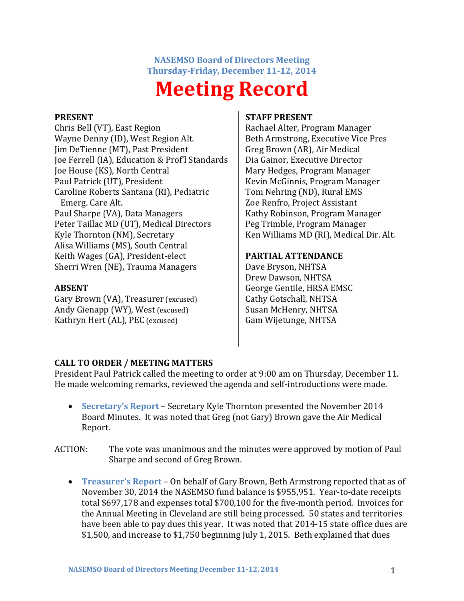**NASEMSO Board of Directors Meeting Thursday-Friday, December 11-12, 2014**

# **Meeting Record**

#### **PRESENT**

Chris Bell (VT), East Region Wayne Denny (ID), West Region Alt. Jim DeTienne (MT), Past President Joe Ferrell (IA), Education & Prof'l Standards Joe House (KS), North Central Paul Patrick (UT), President Caroline Roberts Santana (RI), Pediatric Emerg. Care Alt. Paul Sharpe (VA), Data Managers Peter Taillac MD (UT), Medical Directors Kyle Thornton (NM), Secretary Alisa Williams (MS), South Central Keith Wages (GA), President-elect Sherri Wren (NE), Trauma Managers

#### **ABSENT**

Gary Brown (VA), Treasurer (excused) Andy Gienapp (WY), West (excused) Kathryn Hert (AL), PEC (excused)

#### **STAFF PRESENT**

Rachael Alter, Program Manager Beth Armstrong, Executive Vice Pres Greg Brown (AR), Air Medical Dia Gainor, Executive Director Mary Hedges, Program Manager Kevin McGinnis, Program Manager Tom Nehring (ND), Rural EMS Zoe Renfro, Project Assistant Kathy Robinson, Program Manager Peg Trimble, Program Manager Ken Williams MD (RI), Medical Dir. Alt.

## **PARTIAL ATTENDANCE**

Dave Bryson, NHTSA Drew Dawson, NHTSA George Gentile, HRSA EMSC Cathy Gotschall, NHTSA Susan McHenry, NHTSA Gam Wijetunge, NHTSA

# **CALL TO ORDER / MEETING MATTERS**

President Paul Patrick called the meeting to order at 9:00 am on Thursday, December 11. He made welcoming remarks, reviewed the agenda and self-introductions were made.

- **Secretary's Report** Secretary Kyle Thornton presented the November 2014 Board Minutes. It was noted that Greg (not Gary) Brown gave the Air Medical Report.
- ACTION: The vote was unanimous and the minutes were approved by motion of Paul Sharpe and second of Greg Brown.
	- **Treasurer's Report** On behalf of Gary Brown, Beth Armstrong reported that as of November 30, 2014 the NASEMSO fund balance is \$955,951. Year-to-date receipts total \$697,178 and expenses total \$700,100 for the five-month period. Invoices for the Annual Meeting in Cleveland are still being processed. 50 states and territories have been able to pay dues this year. It was noted that 2014-15 state office dues are \$1,500, and increase to \$1,750 beginning July 1, 2015. Beth explained that dues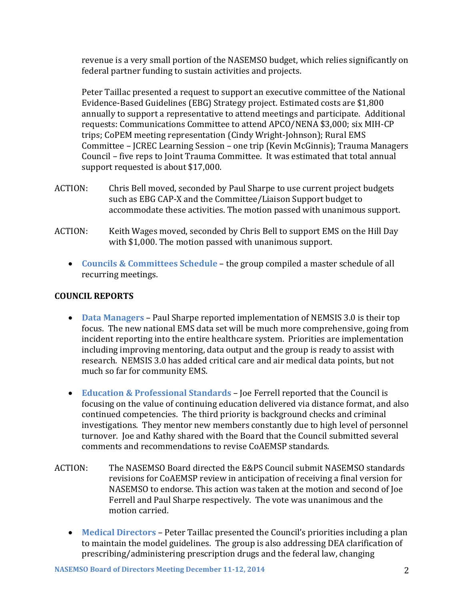revenue is a very small portion of the NASEMSO budget, which relies significantly on federal partner funding to sustain activities and projects.

Peter Taillac presented a request to support an executive committee of the National Evidence-Based Guidelines (EBG) Strategy project. Estimated costs are \$1,800 annually to support a representative to attend meetings and participate. Additional requests: Communications Committee to attend APCO/NENA \$3,000; six MIH-CP trips; CoPEM meeting representation (Cindy Wright-Johnson); Rural EMS Committee – JCREC Learning Session – one trip (Kevin McGinnis); Trauma Managers Council – five reps to Joint Trauma Committee. It was estimated that total annual support requested is about \$17,000.

- ACTION: Chris Bell moved, seconded by Paul Sharpe to use current project budgets such as EBG CAP-X and the Committee/Liaison Support budget to accommodate these activities. The motion passed with unanimous support.
- ACTION: Keith Wages moved, seconded by Chris Bell to support EMS on the Hill Day with \$1,000. The motion passed with unanimous support.
	- **Councils & Committees Schedule** the group compiled a master schedule of all recurring meetings.

## **COUNCIL REPORTS**

- **Data Managers** Paul Sharpe reported implementation of NEMSIS 3.0 is their top focus. The new national EMS data set will be much more comprehensive, going from incident reporting into the entire healthcare system. Priorities are implementation including improving mentoring, data output and the group is ready to assist with research. NEMSIS 3.0 has added critical care and air medical data points, but not much so far for community EMS.
- **Education & Professional Standards** Joe Ferrell reported that the Council is focusing on the value of continuing education delivered via distance format, and also continued competencies. The third priority is background checks and criminal investigations. They mentor new members constantly due to high level of personnel turnover. Joe and Kathy shared with the Board that the Council submitted several comments and recommendations to revise CoAEMSP standards.
- ACTION: The NASEMSO Board directed the E&PS Council submit NASEMSO standards revisions for CoAEMSP review in anticipation of receiving a final version for NASEMSO to endorse. This action was taken at the motion and second of Joe Ferrell and Paul Sharpe respectively. The vote was unanimous and the motion carried.
	- **Medical Directors** Peter Taillac presented the Council's priorities including a plan to maintain the model guidelines. The group is also addressing DEA clarification of prescribing/administering prescription drugs and the federal law, changing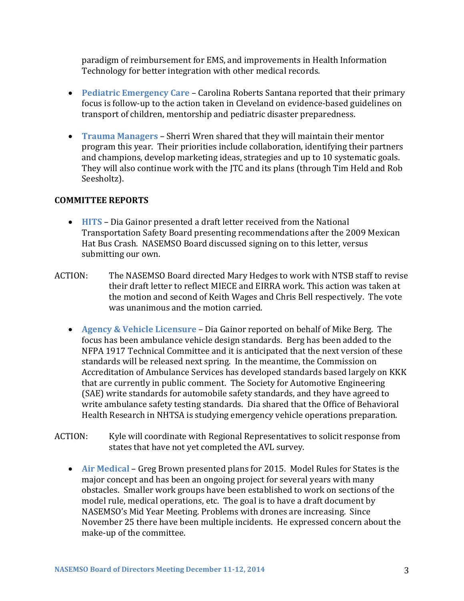paradigm of reimbursement for EMS, and improvements in Health Information Technology for better integration with other medical records.

- **Pediatric Emergency Care** Carolina Roberts Santana reported that their primary focus is follow-up to the action taken in Cleveland on evidence-based guidelines on transport of children, mentorship and pediatric disaster preparedness.
- **Trauma Managers** Sherri Wren shared that they will maintain their mentor program this year. Their priorities include collaboration, identifying their partners and champions, develop marketing ideas, strategies and up to 10 systematic goals. They will also continue work with the JTC and its plans (through Tim Held and Rob Seesholtz).

## **COMMITTEE REPORTS**

- **HITS** Dia Gainor presented a draft letter received from the National Transportation Safety Board presenting recommendations after the 2009 Mexican Hat Bus Crash. NASEMSO Board discussed signing on to this letter, versus submitting our own.
- ACTION: The NASEMSO Board directed Mary Hedges to work with NTSB staff to revise their draft letter to reflect MIECE and EIRRA work. This action was taken at the motion and second of Keith Wages and Chris Bell respectively. The vote was unanimous and the motion carried.
	- **Agency & Vehicle Licensure** Dia Gainor reported on behalf of Mike Berg. The focus has been ambulance vehicle design standards. Berg has been added to the NFPA 1917 Technical Committee and it is anticipated that the next version of these standards will be released next spring. In the meantime, the Commission on Accreditation of Ambulance Services has developed standards based largely on KKK that are currently in public comment. The Society for Automotive Engineering (SAE) write standards for automobile safety standards, and they have agreed to write ambulance safety testing standards. Dia shared that the Office of Behavioral Health Research in NHTSA is studying emergency vehicle operations preparation.
- ACTION: Kyle will coordinate with Regional Representatives to solicit response from states that have not yet completed the AVL survey.
	- **Air Medical** Greg Brown presented plans for 2015. Model Rules for States is the major concept and has been an ongoing project for several years with many obstacles. Smaller work groups have been established to work on sections of the model rule, medical operations, etc. The goal is to have a draft document by NASEMSO's Mid Year Meeting. Problems with drones are increasing. Since November 25 there have been multiple incidents. He expressed concern about the make-up of the committee.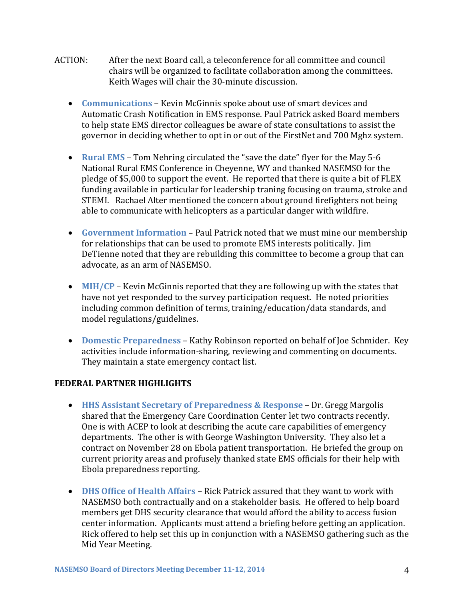- ACTION: After the next Board call, a teleconference for all committee and council chairs will be organized to facilitate collaboration among the committees. Keith Wages will chair the 30-minute discussion.
	- **Communications** Kevin McGinnis spoke about use of smart devices and Automatic Crash Notification in EMS response. Paul Patrick asked Board members to help state EMS director colleagues be aware of state consultations to assist the governor in deciding whether to opt in or out of the FirstNet and 700 Mghz system.
	- **Rural EMS** Tom Nehring circulated the "save the date" flyer for the May 5-6 National Rural EMS Conference in Cheyenne, WY and thanked NASEMSO for the pledge of \$5,000 to support the event. He reported that there is quite a bit of FLEX funding available in particular for leadership traning focusing on trauma, stroke and STEMI. Rachael Alter mentioned the concern about ground firefighters not being able to communicate with helicopters as a particular danger with wildfire.
	- **Government Information** Paul Patrick noted that we must mine our membership for relationships that can be used to promote EMS interests politically. Jim DeTienne noted that they are rebuilding this committee to become a group that can advocate, as an arm of NASEMSO.
	- **MIH/CP** Kevin McGinnis reported that they are following up with the states that have not yet responded to the survey participation request. He noted priorities including common definition of terms, training/education/data standards, and model regulations/guidelines.
	- **Domestic Preparedness** Kathy Robinson reported on behalf of Joe Schmider. Key activities include information-sharing, reviewing and commenting on documents. They maintain a state emergency contact list.

#### **FEDERAL PARTNER HIGHLIGHTS**

- **HHS Assistant Secretary of Preparedness & Response** Dr. Gregg Margolis shared that the Emergency Care Coordination Center let two contracts recently. One is with ACEP to look at describing the acute care capabilities of emergency departments. The other is with George Washington University. They also let a contract on November 28 on Ebola patient transportation. He briefed the group on current priority areas and profusely thanked state EMS officials for their help with Ebola preparedness reporting.
- **DHS Office of Health Affairs** Rick Patrick assured that they want to work with NASEMSO both contractually and on a stakeholder basis. He offered to help board members get DHS security clearance that would afford the ability to access fusion center information. Applicants must attend a briefing before getting an application. Rick offered to help set this up in conjunction with a NASEMSO gathering such as the Mid Year Meeting.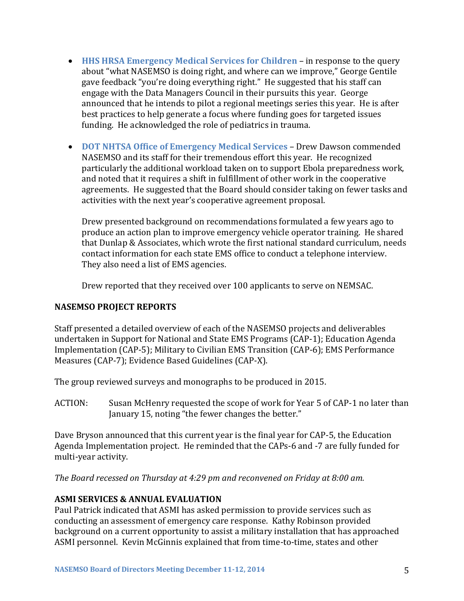- **HHS HRSA Emergency Medical Services for Children** in response to the query about "what NASEMSO is doing right, and where can we improve," George Gentile gave feedback "you're doing everything right." He suggested that his staff can engage with the Data Managers Council in their pursuits this year. George announced that he intends to pilot a regional meetings series this year. He is after best practices to help generate a focus where funding goes for targeted issues funding. He acknowledged the role of pediatrics in trauma.
- **DOT NHTSA Office of Emergency Medical Services** Drew Dawson commended NASEMSO and its staff for their tremendous effort this year. He recognized particularly the additional workload taken on to support Ebola preparedness work, and noted that it requires a shift in fulfillment of other work in the cooperative agreements. He suggested that the Board should consider taking on fewer tasks and activities with the next year's cooperative agreement proposal.

Drew presented background on recommendations formulated a few years ago to produce an action plan to improve emergency vehicle operator training. He shared that Dunlap & Associates, which wrote the first national standard curriculum, needs contact information for each state EMS office to conduct a telephone interview. They also need a list of EMS agencies.

Drew reported that they received over 100 applicants to serve on NEMSAC.

#### **NASEMSO PROJECT REPORTS**

Staff presented a detailed overview of each of the NASEMSO projects and deliverables undertaken in Support for National and State EMS Programs (CAP-1); Education Agenda Implementation (CAP-5); Military to Civilian EMS Transition (CAP-6); EMS Performance Measures (CAP-7); Evidence Based Guidelines (CAP-X).

The group reviewed surveys and monographs to be produced in 2015.

ACTION: Susan McHenry requested the scope of work for Year 5 of CAP-1 no later than January 15, noting "the fewer changes the better."

Dave Bryson announced that this current year is the final year for CAP-5, the Education Agenda Implementation project. He reminded that the CAPs-6 and -7 are fully funded for multi-year activity.

*The Board recessed on Thursday at 4:29 pm and reconvened on Friday at 8:00 am.*

#### **ASMI SERVICES & ANNUAL EVALUATION**

Paul Patrick indicated that ASMI has asked permission to provide services such as conducting an assessment of emergency care response. Kathy Robinson provided background on a current opportunity to assist a military installation that has approached ASMI personnel. Kevin McGinnis explained that from time-to-time, states and other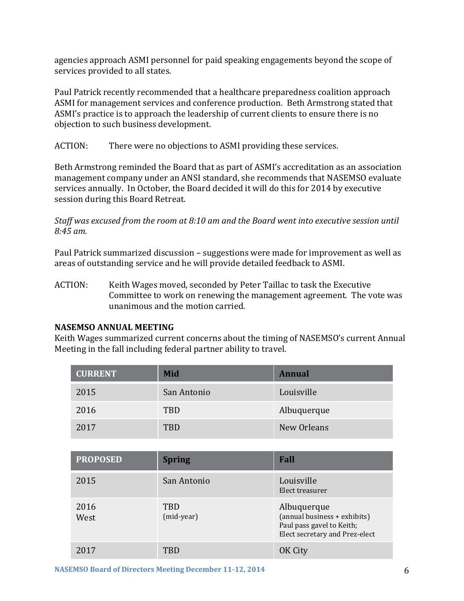agencies approach ASMI personnel for paid speaking engagements beyond the scope of services provided to all states.

Paul Patrick recently recommended that a healthcare preparedness coalition approach ASMI for management services and conference production. Beth Armstrong stated that ASMI's practice is to approach the leadership of current clients to ensure there is no objection to such business development.

ACTION: There were no objections to ASMI providing these services.

Beth Armstrong reminded the Board that as part of ASMI's accreditation as an association management company under an ANSI standard, she recommends that NASEMSO evaluate services annually. In October, the Board decided it will do this for 2014 by executive session during this Board Retreat.

*Staff was excused from the room at 8:10 am and the Board went into executive session until 8:45 am.*

Paul Patrick summarized discussion – suggestions were made for improvement as well as areas of outstanding service and he will provide detailed feedback to ASMI.

ACTION: Keith Wages moved, seconded by Peter Taillac to task the Executive Committee to work on renewing the management agreement. The vote was unanimous and the motion carried.

#### **NASEMSO ANNUAL MEETING**

Keith Wages summarized current concerns about the timing of NASEMSO's current Annual Meeting in the fall including federal partner ability to travel.

| <b>CURRENT</b> | Mid         | <b>Annual</b> |
|----------------|-------------|---------------|
| 2015           | San Antonio | Louisville    |
| 2016           | <b>TBD</b>  | Albuquerque   |
| 2017           | TRD         | New Orleans   |

| <b>PROPOSED</b> | <b>Spring</b>            | Fall                                                                                                       |
|-----------------|--------------------------|------------------------------------------------------------------------------------------------------------|
| 2015            | San Antonio              | Louisville<br>Elect treasurer                                                                              |
| 2016<br>West    | <b>TBD</b><br>(mid-year) | Albuquerque<br>(annual business + exhibits)<br>Paul pass gavel to Keith;<br>Elect secretary and Prez-elect |
| 2017            | TBD                      | OK City                                                                                                    |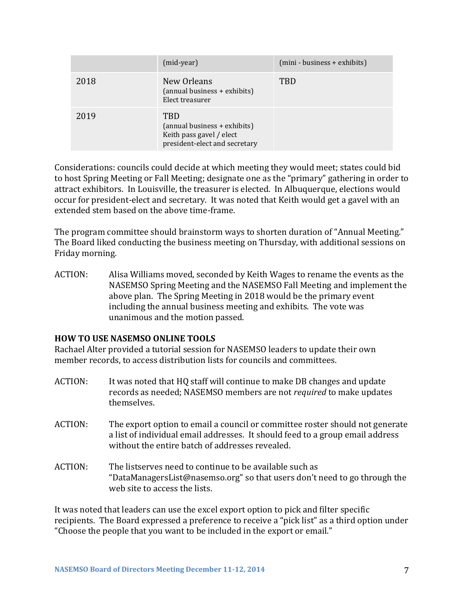|      | (mid-year)                                                                                              | (mini - business + exhibits) |
|------|---------------------------------------------------------------------------------------------------------|------------------------------|
| 2018 | New Orleans<br>(annual business + exhibits)<br>Elect treasurer                                          | <b>TBD</b>                   |
| 2019 | <b>TBD</b><br>(annual business + exhibits)<br>Keith pass gavel / elect<br>president-elect and secretary |                              |

Considerations: councils could decide at which meeting they would meet; states could bid to host Spring Meeting or Fall Meeting; designate one as the "primary" gathering in order to attract exhibitors. In Louisville, the treasurer is elected. In Albuquerque, elections would occur for president-elect and secretary. It was noted that Keith would get a gavel with an extended stem based on the above time-frame.

The program committee should brainstorm ways to shorten duration of "Annual Meeting." The Board liked conducting the business meeting on Thursday, with additional sessions on Friday morning.

ACTION: Alisa Williams moved, seconded by Keith Wages to rename the events as the NASEMSO Spring Meeting and the NASEMSO Fall Meeting and implement the above plan. The Spring Meeting in 2018 would be the primary event including the annual business meeting and exhibits. The vote was unanimous and the motion passed.

#### **HOW TO USE NASEMSO ONLINE TOOLS**

Rachael Alter provided a tutorial session for NASEMSO leaders to update their own member records, to access distribution lists for councils and committees.

- ACTION: It was noted that HQ staff will continue to make DB changes and update records as needed; NASEMSO members are not *required* to make updates themselves.
- ACTION: The export option to email a council or committee roster should not generate a list of individual email addresses. It should feed to a group email address without the entire batch of addresses revealed.
- ACTION: The listserves need to continue to be available such as "DataManagers[List@nasemso.org](mailto:Lists@nasemso.org)" so that users don't need to go through the web site to access the lists.

It was noted that leaders can use the excel export option to pick and filter specific recipients. The Board expressed a preference to receive a "pick list" as a third option under "Choose the people that you want to be included in the export or email."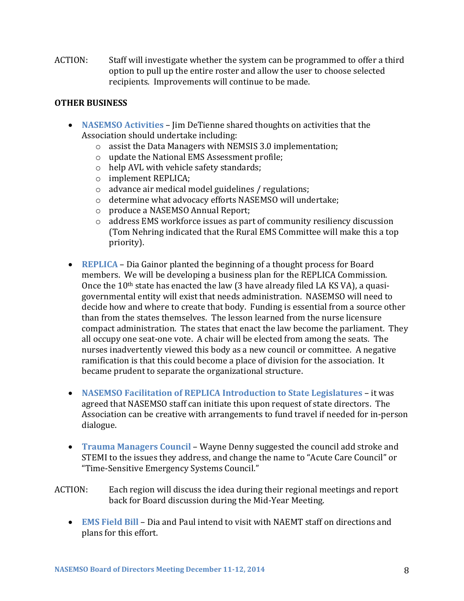ACTION: Staff will investigate whether the system can be programmed to offer a third option to pull up the entire roster and allow the user to choose selected recipients. Improvements will continue to be made.

# **OTHER BUSINESS**

- **NASEMSO Activities** Jim DeTienne shared thoughts on activities that the Association should undertake including:
	- o assist the Data Managers with NEMSIS 3.0 implementation;
	- o update the National EMS Assessment profile;
	- o help AVL with vehicle safety standards;
	- o implement REPLICA;
	- o advance air medical model guidelines / regulations;
	- o determine what advocacy efforts NASEMSO will undertake;
	- o produce a NASEMSO Annual Report;
	- o address EMS workforce issues as part of community resiliency discussion (Tom Nehring indicated that the Rural EMS Committee will make this a top priority).
- **REPLICA** Dia Gainor planted the beginning of a thought process for Board members. We will be developing a business plan for the REPLICA Commission. Once the 10th state has enacted the law (3 have already filed LA KS VA), a quasigovernmental entity will exist that needs administration. NASEMSO will need to decide how and where to create that body. Funding is essential from a source other than from the states themselves. The lesson learned from the nurse licensure compact administration. The states that enact the law become the parliament. They all occupy one seat-one vote. A chair will be elected from among the seats. The nurses inadvertently viewed this body as a new council or committee. A negative ramification is that this could become a place of division for the association. It became prudent to separate the organizational structure.
- **NASEMSO Facilitation of REPLICA Introduction to State Legislatures** it was agreed that NASEMSO staff can initiate this upon request of state directors. The Association can be creative with arrangements to fund travel if needed for in-person dialogue.
- **Trauma Managers Council** Wayne Denny suggested the council add stroke and STEMI to the issues they address, and change the name to "Acute Care Council" or "Time-Sensitive Emergency Systems Council."
- ACTION: Each region will discuss the idea during their regional meetings and report back for Board discussion during the Mid-Year Meeting.
	- **EMS Field Bill** Dia and Paul intend to visit with NAEMT staff on directions and plans for this effort.